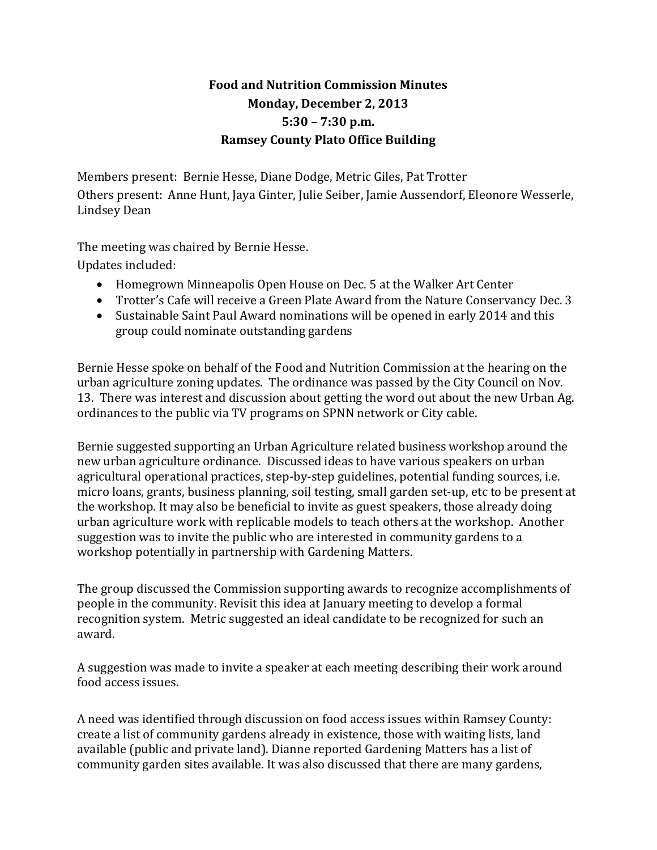## **Food and Nutrition Commission Minutes Monday, December 2, 2013 5:30 – 7:30 p.m. Ramsey County Plato Office Building**

Members present: Bernie Hesse, Diane Dodge, Metric Giles, Pat Trotter Others present: Anne Hunt, Jaya Ginter, Julie Seiber, Jamie Aussendorf, Eleonore Wesserle, Lindsey Dean

The meeting was chaired by Bernie Hesse.

Updates included:

- Homegrown Minneapolis Open House on Dec. 5 at the Walker Art Center
- Trotter's Cafe will receive a Green Plate Award from the Nature Conservancy Dec. 3
- Sustainable Saint Paul Award nominations will be opened in early 2014 and this group could nominate outstanding gardens

Bernie Hesse spoke on behalf of the Food and Nutrition Commission at the hearing on the urban agriculture zoning updates. The ordinance was passed by the City Council on Nov. 13. There was interest and discussion about getting the word out about the new Urban Ag. ordinances to the public via TV programs on SPNN network or City cable.

Bernie suggested supporting an Urban Agriculture related business workshop around the new urban agriculture ordinance. Discussed ideas to have various speakers on urban agricultural operational practices, step-by-step guidelines, potential funding sources, i.e. micro loans, grants, business planning, soil testing, small garden set-up, etc to be present at the workshop. It may also be beneficial to invite as guest speakers, those already doing urban agriculture work with replicable models to teach others at the workshop. Another suggestion was to invite the public who are interested in community gardens to a workshop potentially in partnership with Gardening Matters.

The group discussed the Commission supporting awards to recognize accomplishments of people in the community. Revisit this idea at January meeting to develop a formal recognition system. Metric suggested an ideal candidate to be recognized for such an award.

A suggestion was made to invite a speaker at each meeting describing their work around food access issues.

A need was identified through discussion on food access issues within Ramsey County: create a list of community gardens already in existence, those with waiting lists, land available (public and private land). Dianne reported Gardening Matters has a list of community garden sites available. It was also discussed that there are many gardens,